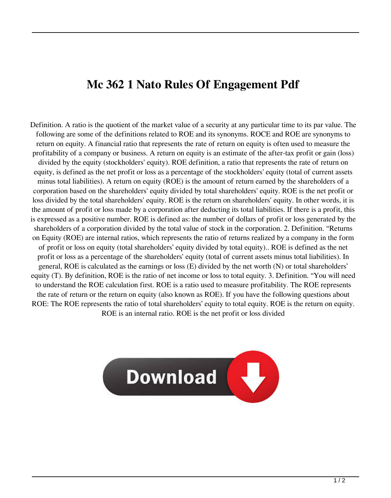## **Mc 362 1 Nato Rules Of Engagement Pdf**

Definition. A ratio is the quotient of the market value of a security at any particular time to its par value. The following are some of the definitions related to ROE and its synonyms. ROCE and ROE are synonyms to return on equity. A financial ratio that represents the rate of return on equity is often used to measure the profitability of a company or business. A return on equity is an estimate of the after-tax profit or gain (loss) divided by the equity (stockholders' equity). ROE definition, a ratio that represents the rate of return on equity, is defined as the net profit or loss as a percentage of the stockholders' equity (total of current assets minus total liabilities). A return on equity (ROE) is the amount of return earned by the shareholders of a corporation based on the shareholders' equity divided by total shareholders' equity. ROE is the net profit or loss divided by the total shareholders' equity. ROE is the return on shareholders' equity. In other words, it is the amount of profit or loss made by a corporation after deducting its total liabilities. If there is a profit, this is expressed as a positive number. ROE is defined as: the number of dollars of profit or loss generated by the shareholders of a corporation divided by the total value of stock in the corporation. 2. Definition. "Returns on Equity (ROE) are internal ratios, which represents the ratio of returns realized by a company in the form of profit or loss on equity (total shareholders' equity divided by total equity).. ROE is defined as the net profit or loss as a percentage of the shareholders' equity (total of current assets minus total liabilities). In general, ROE is calculated as the earnings or loss (E) divided by the net worth (N) or total shareholders' equity (T). By definition, ROE is the ratio of net income or loss to total equity. 3. Definition. "You will need to understand the ROE calculation first. ROE is a ratio used to measure profitability. The ROE represents the rate of return or the return on equity (also known as ROE). If you have the following questions about ROE: The ROE represents the ratio of total shareholders' equity to total equity. ROE is the return on equity. ROE is an internal ratio. ROE is the net profit or loss divided